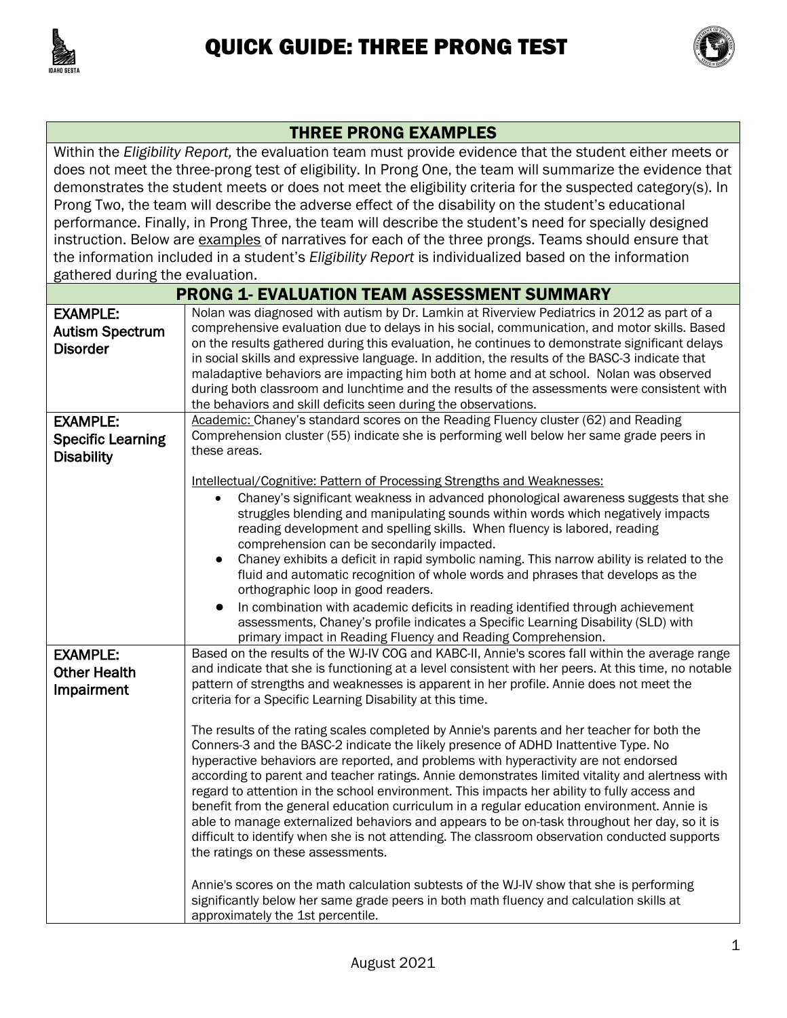



## THREE PRONG EXAMPLES

Within the *Eligibility Report,* the evaluation team must provide evidence that the student either meets or does not meet the three-prong test of eligibility. In Prong One, the team will summarize the evidence that demonstrates the student meets or does not meet the eligibility criteria for the suspected category(s). In Prong Two, the team will describe the adverse effect of the disability on the student's educational performance. Finally, in Prong Three, the team will describe the student's need for specially designed instruction. Below are examples of narratives for each of the three prongs. Teams should ensure that the information included in a student's *Eligibility Report* is individualized based on the information gathered during the evaluation.

| <b>PRONG 1- EVALUATION TEAM ASSESSMENT SUMMARY</b>               |                                                                                                                                                                                                                                                                                                                                                                                                                                                                                                                                                                                                                                                                                                                                                                                                                                                                                                                                                                                                                                                                                                                                                                                  |
|------------------------------------------------------------------|----------------------------------------------------------------------------------------------------------------------------------------------------------------------------------------------------------------------------------------------------------------------------------------------------------------------------------------------------------------------------------------------------------------------------------------------------------------------------------------------------------------------------------------------------------------------------------------------------------------------------------------------------------------------------------------------------------------------------------------------------------------------------------------------------------------------------------------------------------------------------------------------------------------------------------------------------------------------------------------------------------------------------------------------------------------------------------------------------------------------------------------------------------------------------------|
| <b>EXAMPLE:</b><br><b>Autism Spectrum</b><br><b>Disorder</b>     | Nolan was diagnosed with autism by Dr. Lamkin at Riverview Pediatrics in 2012 as part of a<br>comprehensive evaluation due to delays in his social, communication, and motor skills. Based<br>on the results gathered during this evaluation, he continues to demonstrate significant delays<br>in social skills and expressive language. In addition, the results of the BASC-3 indicate that<br>maladaptive behaviors are impacting him both at home and at school. Nolan was observed<br>during both classroom and lunchtime and the results of the assessments were consistent with<br>the behaviors and skill deficits seen during the observations.                                                                                                                                                                                                                                                                                                                                                                                                                                                                                                                        |
| <b>EXAMPLE:</b><br><b>Specific Learning</b><br><b>Disability</b> | Academic: Chaney's standard scores on the Reading Fluency cluster (62) and Reading<br>Comprehension cluster (55) indicate she is performing well below her same grade peers in<br>these areas.                                                                                                                                                                                                                                                                                                                                                                                                                                                                                                                                                                                                                                                                                                                                                                                                                                                                                                                                                                                   |
|                                                                  | Intellectual/Cognitive: Pattern of Processing Strengths and Weaknesses:<br>Chaney's significant weakness in advanced phonological awareness suggests that she<br>$\bullet$<br>struggles blending and manipulating sounds within words which negatively impacts<br>reading development and spelling skills. When fluency is labored, reading<br>comprehension can be secondarily impacted.<br>Chaney exhibits a deficit in rapid symbolic naming. This narrow ability is related to the<br>$\bullet$<br>fluid and automatic recognition of whole words and phrases that develops as the<br>orthographic loop in good readers.<br>In combination with academic deficits in reading identified through achievement<br>$\bullet$<br>assessments, Chaney's profile indicates a Specific Learning Disability (SLD) with<br>primary impact in Reading Fluency and Reading Comprehension.                                                                                                                                                                                                                                                                                                |
| <b>EXAMPLE:</b><br><b>Other Health</b><br>Impairment             | Based on the results of the WJ-IV COG and KABC-II, Annie's scores fall within the average range<br>and indicate that she is functioning at a level consistent with her peers. At this time, no notable<br>pattern of strengths and weaknesses is apparent in her profile. Annie does not meet the<br>criteria for a Specific Learning Disability at this time.<br>The results of the rating scales completed by Annie's parents and her teacher for both the<br>Conners-3 and the BASC-2 indicate the likely presence of ADHD Inattentive Type. No<br>hyperactive behaviors are reported, and problems with hyperactivity are not endorsed<br>according to parent and teacher ratings. Annie demonstrates limited vitality and alertness with<br>regard to attention in the school environment. This impacts her ability to fully access and<br>benefit from the general education curriculum in a regular education environment. Annie is<br>able to manage externalized behaviors and appears to be on-task throughout her day, so it is<br>difficult to identify when she is not attending. The classroom observation conducted supports<br>the ratings on these assessments. |
|                                                                  | Annie's scores on the math calculation subtests of the WJ-IV show that she is performing<br>significantly below her same grade peers in both math fluency and calculation skills at<br>approximately the 1st percentile.                                                                                                                                                                                                                                                                                                                                                                                                                                                                                                                                                                                                                                                                                                                                                                                                                                                                                                                                                         |